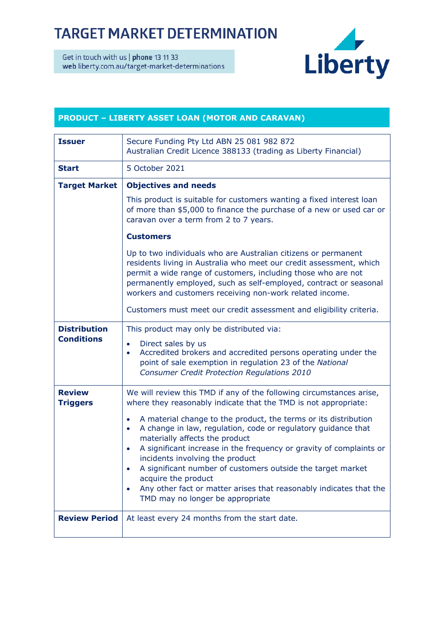## **TARGET MARKET DETERMINATION**

Get in touch with us | phone 13 11 33 web liberty.com.au/target-market-determinations



## **PRODUCT – LIBERTY ASSET LOAN (MOTOR AND CARAVAN)**

| <b>Issuer</b>                            | Secure Funding Pty Ltd ABN 25 081 982 872<br>Australian Credit Licence 388133 (trading as Liberty Financial)                                                                                                                                                                                                                                                                                                                                                                                                                                                                                                                                                                |  |
|------------------------------------------|-----------------------------------------------------------------------------------------------------------------------------------------------------------------------------------------------------------------------------------------------------------------------------------------------------------------------------------------------------------------------------------------------------------------------------------------------------------------------------------------------------------------------------------------------------------------------------------------------------------------------------------------------------------------------------|--|
| <b>Start</b>                             | 5 October 2021                                                                                                                                                                                                                                                                                                                                                                                                                                                                                                                                                                                                                                                              |  |
| <b>Target Market</b>                     | <b>Objectives and needs</b>                                                                                                                                                                                                                                                                                                                                                                                                                                                                                                                                                                                                                                                 |  |
|                                          | This product is suitable for customers wanting a fixed interest loan<br>of more than \$5,000 to finance the purchase of a new or used car or<br>caravan over a term from 2 to 7 years.                                                                                                                                                                                                                                                                                                                                                                                                                                                                                      |  |
|                                          | <b>Customers</b>                                                                                                                                                                                                                                                                                                                                                                                                                                                                                                                                                                                                                                                            |  |
|                                          | Up to two individuals who are Australian citizens or permanent<br>residents living in Australia who meet our credit assessment, which<br>permit a wide range of customers, including those who are not<br>permanently employed, such as self-employed, contract or seasonal<br>workers and customers receiving non-work related income.                                                                                                                                                                                                                                                                                                                                     |  |
|                                          | Customers must meet our credit assessment and eligibility criteria.                                                                                                                                                                                                                                                                                                                                                                                                                                                                                                                                                                                                         |  |
| <b>Distribution</b><br><b>Conditions</b> | This product may only be distributed via:<br>Direct sales by us<br>$\bullet$<br>Accredited brokers and accredited persons operating under the<br>$\bullet$<br>point of sale exemption in regulation 23 of the National<br><b>Consumer Credit Protection Regulations 2010</b>                                                                                                                                                                                                                                                                                                                                                                                                |  |
| <b>Review</b><br><b>Triggers</b>         | We will review this TMD if any of the following circumstances arise,<br>where they reasonably indicate that the TMD is not appropriate:<br>A material change to the product, the terms or its distribution<br>$\bullet$<br>A change in law, regulation, code or regulatory guidance that<br>$\bullet$<br>materially affects the product<br>A significant increase in the frequency or gravity of complaints or<br>$\bullet$<br>incidents involving the product<br>A significant number of customers outside the target market<br>acquire the product<br>Any other fact or matter arises that reasonably indicates that the<br>$\bullet$<br>TMD may no longer be appropriate |  |
| <b>Review Period</b>                     | At least every 24 months from the start date.                                                                                                                                                                                                                                                                                                                                                                                                                                                                                                                                                                                                                               |  |